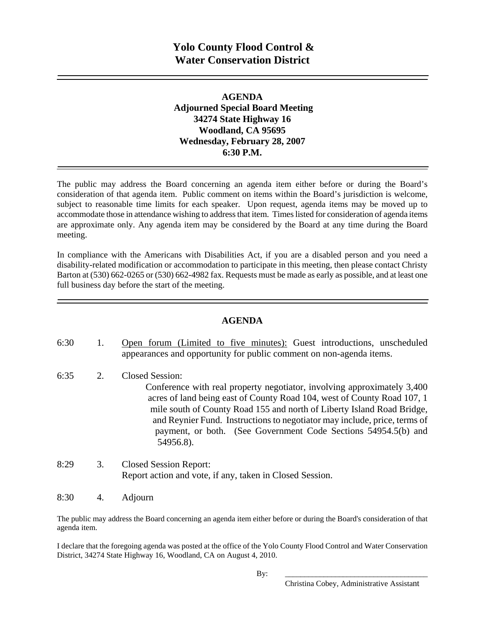### **AGENDA Adjourned Special Board Meeting 34274 State Highway 16 Woodland, CA 95695 Wednesday, February 28, 2007 6:30 P.M.**

The public may address the Board concerning an agenda item either before or during the Board's consideration of that agenda item. Public comment on items within the Board's jurisdiction is welcome, subject to reasonable time limits for each speaker. Upon request, agenda items may be moved up to accommodate those in attendance wishing to address that item. Times listed for consideration of agenda items are approximate only. Any agenda item may be considered by the Board at any time during the Board meeting.

In compliance with the Americans with Disabilities Act, if you are a disabled person and you need a disability-related modification or accommodation to participate in this meeting, then please contact Christy Barton at (530) 662-0265 or (530) 662-4982 fax. Requests must be made as early as possible, and at least one full business day before the start of the meeting.

### **AGENDA**

- 6:30 1. Open forum (Limited to five minutes): Guest introductions, unscheduled appearances and opportunity for public comment on non-agenda items.
- 6:35 2. Closed Session: Conference with real property negotiator, involving approximately 3,400 acres of land being east of County Road 104, west of County Road 107, 1 mile south of County Road 155 and north of Liberty Island Road Bridge, and Reynier Fund. Instructions to negotiator may include, price, terms of payment, or both. (See Government Code Sections 54954.5(b) and 54956.8).
- 8:29 3. Closed Session Report: Report action and vote, if any, taken in Closed Session.
- 8:30 4. Adjourn

The public may address the Board concerning an agenda item either before or during the Board's consideration of that agenda item.

I declare that the foregoing agenda was posted at the office of the Yolo County Flood Control and Water Conservation District, 34274 State Highway 16, Woodland, CA on August 4, 2010.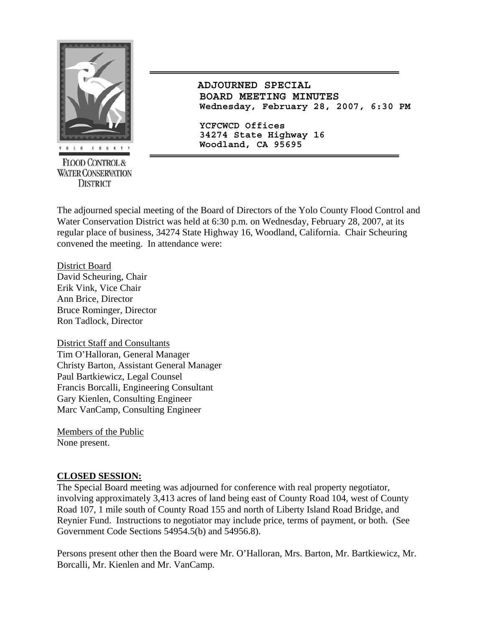

**FLOOD CONTROL & WATER CONSERVATION DISTRICT** 

 **ADJOURNED SPECIAL BOARD MEETING MINUTES Wednesday, February 28, 2007, 6:30 PM**

**YCFCWCD Offices 34274 State Highway 16 Woodland, CA 95695** 

The adjourned special meeting of the Board of Directors of the Yolo County Flood Control and Water Conservation District was held at 6:30 p.m. on Wednesday, February 28, 2007, at its regular place of business, 34274 State Highway 16, Woodland, California. Chair Scheuring convened the meeting. In attendance were:

District Board David Scheuring, Chair Erik Vink, Vice Chair Ann Brice, Director Bruce Rominger, Director Ron Tadlock, Director

District Staff and Consultants Tim O'Halloran, General Manager Christy Barton, Assistant General Manager Paul Bartkiewicz, Legal Counsel Francis Borcalli, Engineering Consultant Gary Kienlen, Consulting Engineer Marc VanCamp, Consulting Engineer

Members of the Public None present.

## **CLOSED SESSION:**

The Special Board meeting was adjourned for conference with real property negotiator, involving approximately 3,413 acres of land being east of County Road 104, west of County Road 107, 1 mile south of County Road 155 and north of Liberty Island Road Bridge, and Reynier Fund. Instructions to negotiator may include price, terms of payment, or both. (See Government Code Sections 54954.5(b) and 54956.8).

Persons present other then the Board were Mr. O'Halloran, Mrs. Barton, Mr. Bartkiewicz, Mr. Borcalli, Mr. Kienlen and Mr. VanCamp.